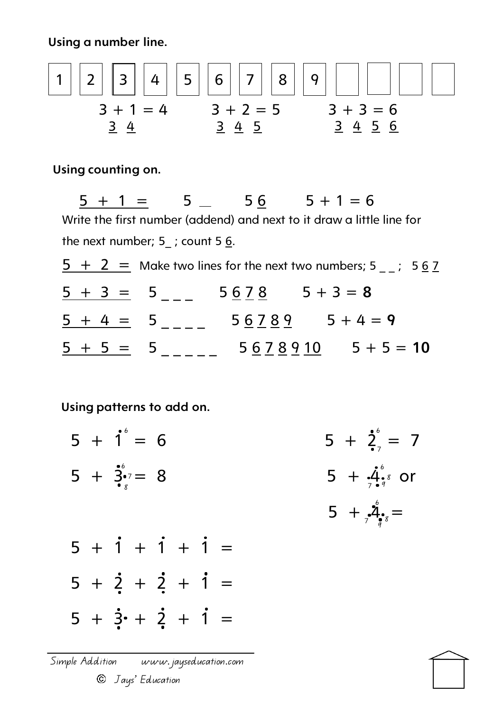Using a number line.

 3 + 1 = 4 3 + 2 = 5 3 + 3 = 6 1 2 3 4 5 6 7 8 9 3 4 3 4 5 3 4 5 6

Using counting on.

 $5 + 1 = 5$  5 6  $5 + 1 = 6$ Write the first number (addend) and next to it draw a little line for the next number; 5 ; count 5  $6$ .  $5 + 2 =$  Make two lines for the next two numbers; 5  $\div$  5 6 7  $\frac{5 + 3 = 5}{-2}$  5 6 7 8 5 + 3 = 8  $\frac{5 + 4 = 5}{- - - -}$  5 6 7 8 9 5 + 4 = 9  $\frac{5 + 5 = 5}{- - - - -}$  5 6 7 8 9 10 5 + 5 = 10

Using patterns to add on.

- $5 + 1 = 6$   $5 + 2$   $= 7$  $5 + 3 = 8$  5 +  $4 = 10$  $5 + {}_* \mathring{4}_{\bullet} =$  $5 + i + i + i =$  $5 + 2 + 2 + 1 =$  $5 + i^6 = 6$ 6 7 6 8 7 6 7 8 9  $7 \frac{8}{9}$ 
	- $5 + 3 + 2 + 1 =$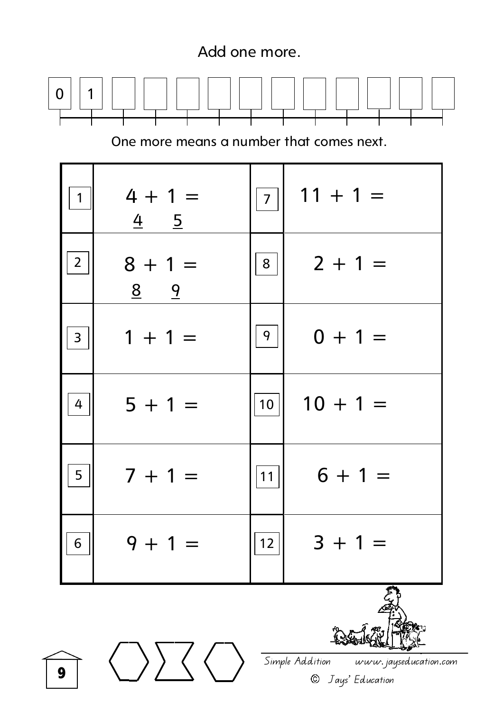



Simple Addition www.jayseducation.com © Jays' Education

$$
\boldsymbol{9}
$$

 $\langle \rangle$   $\rangle \langle \rangle$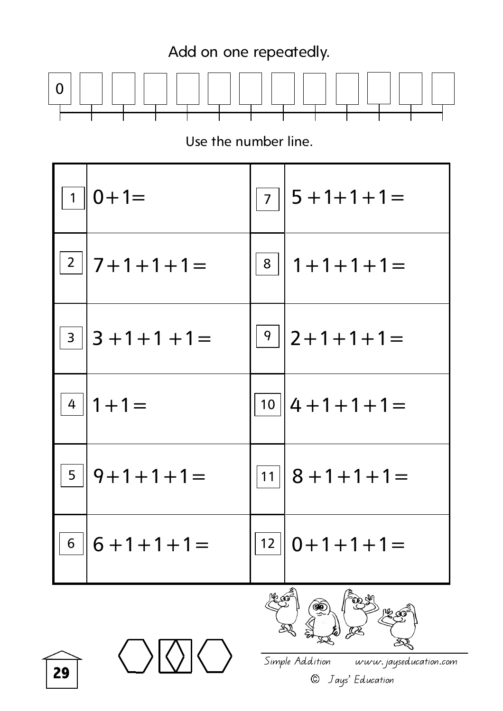

Use the number line.



29

Simple Addition www.jayseducation.com © Jays' Education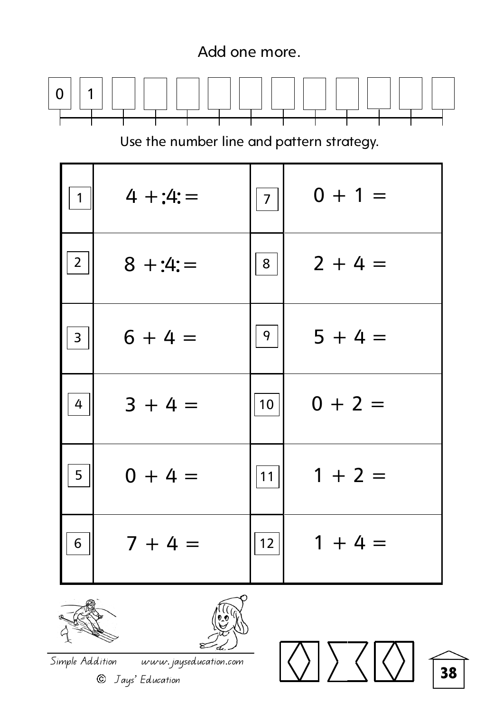

| $\overline{2}$ | $8 + 4 =$ | 8  | $2 + 4 =$ |
|----------------|-----------|----|-----------|
| $\overline{3}$ | $6 + 4 =$ | 9  | $5 + 4 =$ |
| 4              | $3 + 4 =$ | 10 | $0 + 2 =$ |
| 5              | $0 + 4 =$ | 11 | $1 + 2 =$ |
| 6              | $7 + 4 =$ | 12 | $1 + 4 =$ |



1

 $\overline{a}$ 

 $0$  | | 1



38